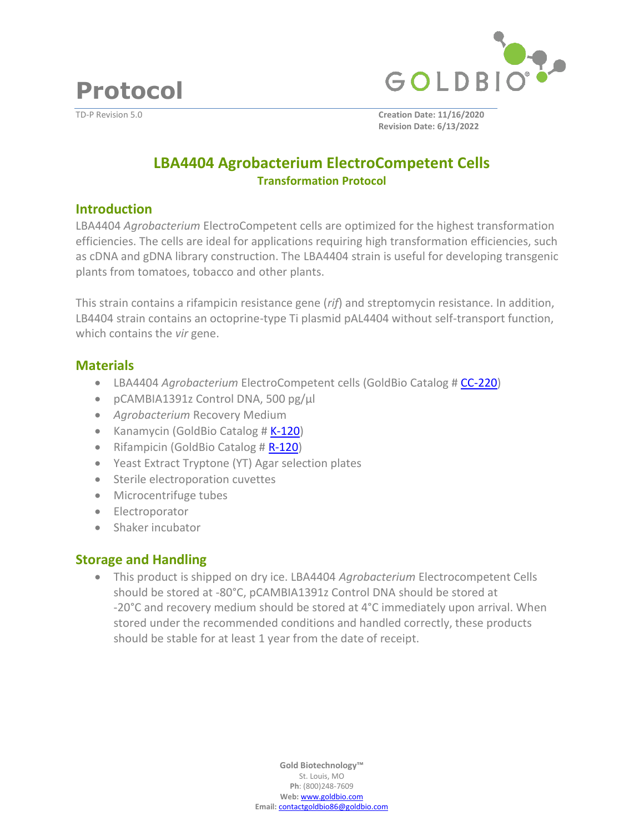

**Protocol**

TD-P Revision 5.0 **Creation Date: 11/16/2020 Revision Date: 6/13/2022**

# **LBA4404 Agrobacterium ElectroCompetent Cells Transformation Protocol**

### **Introduction**

LBA4404 *Agrobacterium* ElectroCompetent cells are optimized for the highest transformation efficiencies. The cells are ideal for applications requiring high transformation efficiencies, such as cDNA and gDNA library construction. The LBA4404 strain is useful for developing transgenic plants from tomatoes, tobacco and other plants.

This strain contains a rifampicin resistance gene (*rif*) and streptomycin resistance. In addition, LB4404 strain contains an octoprine-type Ti plasmid pAL4404 without self-transport function, which contains the *vir* gene.

## **Materials**

- LBA4404 *Agrobacterium* ElectroCompetent cells (GoldBio Catalog # [CC-220\)](https://www.goldbio.com/product/14833/lba4404-agrobacterium-electrocompetent-cells)
- pCAMBIA1391z Control DNA, 500 pg/µl
- *Agrobacterium* Recovery Medium
- Kanamycin (GoldBio Catalog # [K-120\)](https://www.goldbio.com/product/1393/kanamycin-monosulfate-usp-grade)
- Rifampicin (GoldBio Catalog # [R-120\)](https://www.goldbio.com/product/1837/rifampicin)
- Yeast Extract Tryptone (YT) Agar selection plates
- Sterile electroporation cuvettes
- Microcentrifuge tubes
- Electroporator
- Shaker incubator

# **Storage and Handling**

• This product is shipped on dry ice. LBA4404 *Agrobacterium* Electrocompetent Cells should be stored at -80°C, pCAMBIA1391z Control DNA should be stored at -20°C and recovery medium should be stored at 4°C immediately upon arrival. When stored under the recommended conditions and handled correctly, these products should be stable for at least 1 year from the date of receipt.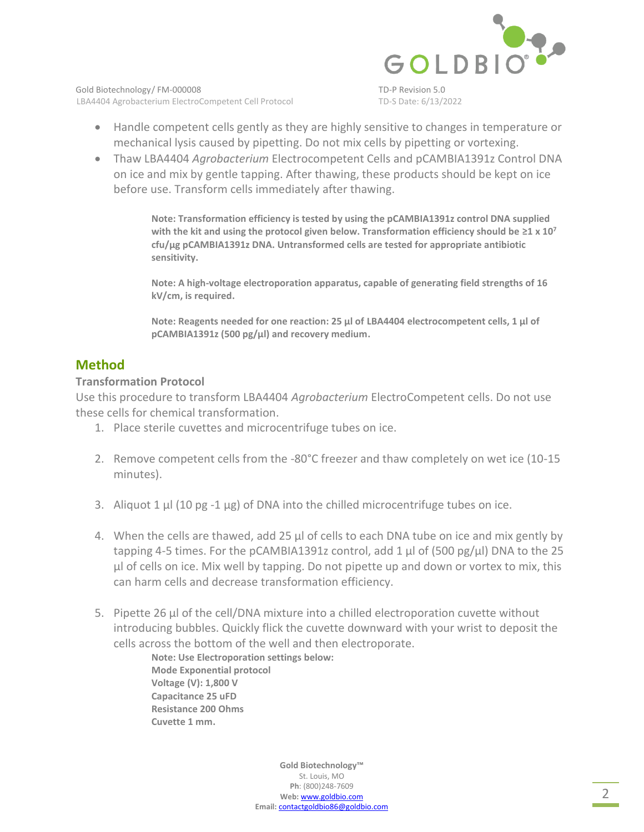

Gold Biotechnology/ FM-000008 TD-P Revision 5.0 LBA4404 Agrobacterium ElectroCompetent Cell Protocol TD-S Date: 6/13/2022

- Handle competent cells gently as they are highly sensitive to changes in temperature or mechanical lysis caused by pipetting. Do not mix cells by pipetting or vortexing.
- Thaw LBA4404 *Agrobacterium* Electrocompetent Cells and pCAMBIA1391z Control DNA on ice and mix by gentle tapping. After thawing, these products should be kept on ice before use. Transform cells immediately after thawing.

**Note: Transformation efficiency is tested by using the pCAMBIA1391z control DNA supplied with the kit and using the protocol given below. Transformation efficiency should be ≥1 x 10<sup>7</sup> cfu/µg pCAMBIA1391z DNA. Untransformed cells are tested for appropriate antibiotic sensitivity.**

**Note: A high-voltage electroporation apparatus, capable of generating field strengths of 16 kV/cm, is required.**

**Note: Reagents needed for one reaction: 25 μl of LBA4404 electrocompetent cells, 1 μl of pCAMBIA1391z (500 pg/μl) and recovery medium.**

## **Method**

#### **Transformation Protocol**

Use this procedure to transform LBA4404 *Agrobacterium* ElectroCompetent cells. Do not use these cells for chemical transformation.

- 1. Place sterile cuvettes and microcentrifuge tubes on ice.
- 2. Remove competent cells from the -80°C freezer and thaw completely on wet ice (10-15 minutes).
- 3. Aliquot 1  $\mu$ l (10 pg -1  $\mu$ g) of DNA into the chilled microcentrifuge tubes on ice.
- 4. When the cells are thawed, add 25 μl of cells to each DNA tube on ice and mix gently by tapping 4-5 times. For the pCAMBIA1391z control, add 1  $\mu$ l of (500 pg/ $\mu$ l) DNA to the 25 µl of cells on ice. Mix well by tapping. Do not pipette up and down or vortex to mix, this can harm cells and decrease transformation efficiency.
- 5. Pipette 26 µl of the cell/DNA mixture into a chilled electroporation cuvette without introducing bubbles. Quickly flick the cuvette downward with your wrist to deposit the cells across the bottom of the well and then electroporate.

**Note: Use Electroporation settings below: Mode Exponential protocol Voltage (V): 1,800 V Capacitance 25 uFD Resistance 200 Ohms Cuvette 1 mm.**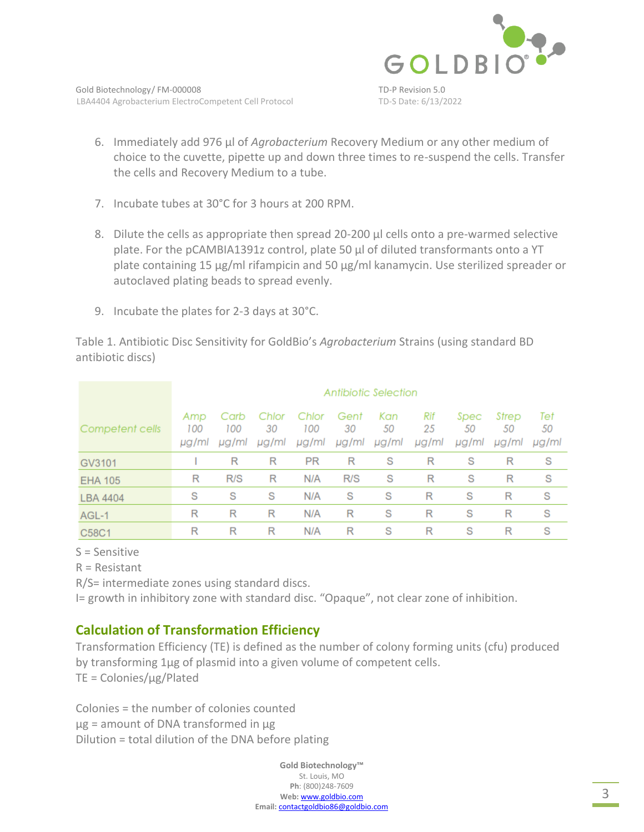

- 6. Immediately add 976 µl of *Agrobacterium* Recovery Medium or any other medium of choice to the cuvette, pipette up and down three times to re-suspend the cells. Transfer the cells and Recovery Medium to a tube.
- 7. Incubate tubes at 30°C for 3 hours at 200 RPM.
- 8. Dilute the cells as appropriate then spread 20-200 μl cells onto a pre-warmed selective plate. For the pCAMBIA1391z control, plate 50 μl of diluted transformants onto a YT plate containing 15 μg/ml rifampicin and 50 μg/ml kanamycin. Use sterilized spreader or autoclaved plating beads to spread evenly.
- 9. Incubate the plates for 2-3 days at 30°C.

Table 1. Antibiotic Disc Sensitivity for GoldBio's *Agrobacterium* Strains (using standard BD antibiotic discs)

|                 | Antibiotic Selection |                      |                      |                       |                     |                    |                    |                     |                      |                    |
|-----------------|----------------------|----------------------|----------------------|-----------------------|---------------------|--------------------|--------------------|---------------------|----------------------|--------------------|
| Competent cells | Amp<br>100<br>µg/ml  | Carb<br>100<br>µg/ml | Chlor<br>30<br>µg/ml | Chlor<br>100<br>µg/ml | Gent<br>30<br>µg/ml | Kan<br>50<br>µg/ml | Rif<br>25<br>µg/ml | Spec<br>50<br>µg/ml | Strep<br>50<br>µg/ml | Tet<br>50<br>µg/ml |
| GV3101          |                      | R                    | R                    | <b>PR</b>             | R                   | S                  | R                  | S                   | R                    | S                  |
| <b>EHA 105</b>  | R                    | R/S                  | R                    | N/A                   | R/S                 | S                  | R                  | S                   | R                    | S                  |
| <b>LBA 4404</b> | S                    | S                    | S                    | N/A                   | S                   | S                  | R                  | S                   | R                    | S                  |
| AGL-1           | R                    | R                    | R                    | N/A                   | R                   | S                  | R                  | S                   | R                    | S                  |
| C58C1           | R                    | R                    | R                    | N/A                   | R                   | S                  | R                  | S                   | R                    | S                  |

S = Sensitive

R = Resistant

R/S= intermediate zones using standard discs.

I= growth in inhibitory zone with standard disc. "Opaque", not clear zone of inhibition.

# **Calculation of Transformation Efficiency**

Transformation Efficiency (TE) is defined as the number of colony forming units (cfu) produced by transforming 1µg of plasmid into a given volume of competent cells. TE = Colonies/µg/Plated

Colonies = the number of colonies counted  $\mu$ g = amount of DNA transformed in  $\mu$ g Dilution = total dilution of the DNA before plating